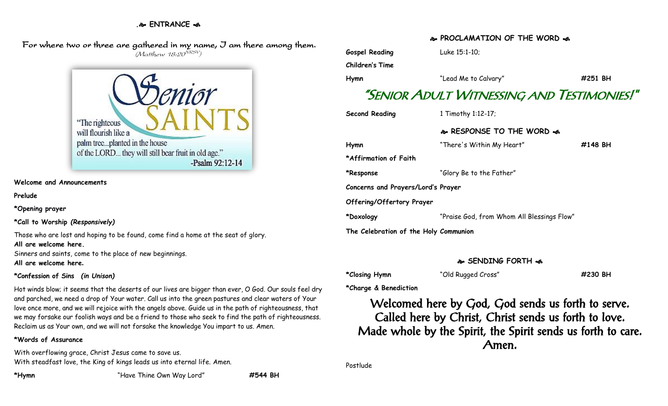# **. ENTRANCE**

 For where two or three are gathered in my name, I am there among them. (Matthew 18:20<sup>NRSV</sup>)

> "The righteous" will flourish like a palm tree...planted in the house of the LORD... they will still bear fruit in old age." -Psalm 92:12-14

**Welcome and Announcements**

**Prelude**

**\*Opening prayer**

**\*Call to Worship** *(Responsively)*

Those who are lost and hoping to be found, come find a home at the seat of glory. **All are welcome here.**

Sinners and saints, come to the place of new beginnings.

**All are welcome here.**

### **\*Confession of Sins** *(in Unison)*

Hot winds blow; it seems that the deserts of our lives are bigger than ever, O God. Our souls feel dry and parched, we need a drop of Your water. Call us into the green pastures and clear waters of Your love once more, and we will rejoice with the angels above. Guide us in the path of righteousness, that we may forsake our foolish ways and be a friend to those who seek to find the path of righteousness. Reclaim us as Your own, and we will not forsake the knowledge You impart to us. Amen.

### **\*Words of Assurance**

With overflowing grace, Christ Jesus came to save us. With steadfast love, the King of kings leads us into eternal life. Amen.

# **Gospel Reading** Luke 15:1-10; **Children's Time Hymn** "Lead Me to Calvary" **#251 BH** "SENIOR ADULT WITNESSING AND TESTIMONIES!" **Second Reading** 1 Timothy 1:12-17; **RESPONSE TO THE WORD Hymn** "There's Within My Heart" **#148 BH \*Affirmation of Faith \*Response** "Glory Be to the Father" **Concerns and Prayers/Lord's Prayer Offering/Offertory Prayer \*Doxology** "Praise God, from Whom All Blessings Flow" **The Celebration of the Holy Communion**

# **SENDING FORTH**

**\*Closing Hymn** "Old Rugged Cross" **#230 BH**

**\*Charge & Benediction**

Welcomed here by God, God sends us forth to serve. Called here by Christ, Christ sends us forth to love. Made whole by the Spirit, the Spirit sends us forth to care. Amen.

Postlude

# **PROCLAMATION OF THE WORD**